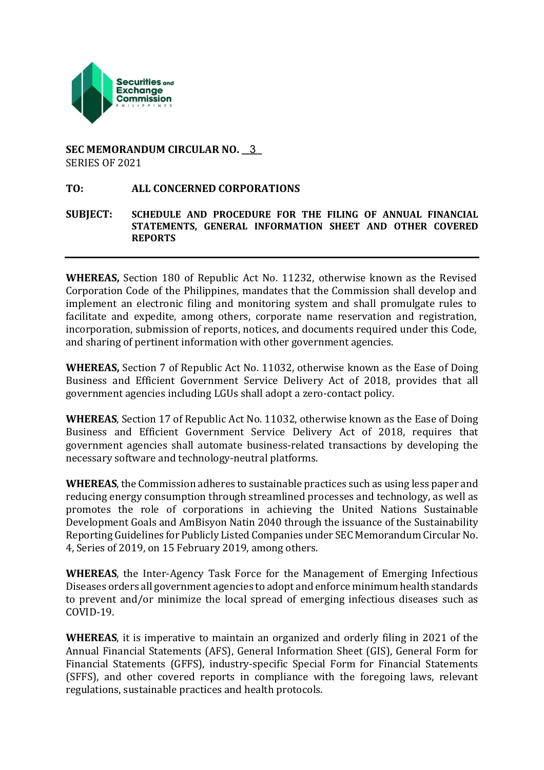

#### **SEC MEMORANDUM CIRCULAR NO. \_\_\_\_\_** 3SERIES OF 2021

#### **TO: ALL CONCERNED CORPORATIONS**

#### **SUBJECT: SCHEDULE AND PROCEDURE FOR THE FILING OF ANNUAL FINANCIAL STATEMENTS, GENERAL INFORMATION SHEET AND OTHER COVERED REPORTS**

**WHEREAS,** Section 180 of Republic Act No. 11232, otherwise known as the Revised Corporation Code of the Philippines, mandates that the Commission shall develop and implement an electronic filing and monitoring system and shall promulgate rules to facilitate and expedite, among others, corporate name reservation and registration, incorporation, submission of reports, notices, and documents required under this Code, and sharing of pertinent information with other government agencies.

**WHEREAS,** Section 7 of Republic Act No. 11032, otherwise known as the Ease of Doing Business and Efficient Government Service Delivery Act of 2018, provides that all government agencies including LGUs shall adopt a zero-contact policy.

**WHEREAS**, Section 17 of Republic Act No. 11032, otherwise known as the Ease of Doing Business and Efficient Government Service Delivery Act of 2018, requires that government agencies shall automate business-related transactions by developing the necessary software and technology-neutral platforms.

**WHEREAS**, the Commission adheres to sustainable practices such as using less paper and reducing energy consumption through streamlined processes and technology, as well as promotes the role of corporations in achieving the United Nations Sustainable Development Goals and AmBisyon Natin 2040 through the issuance of the Sustainability Reporting Guidelines for Publicly Listed Companies under SEC Memorandum Circular No. 4, Series of 2019, on 15 February 2019, among others.

**WHEREAS**, the Inter-Agency Task Force for the Management of Emerging Infectious Diseases orders all government agencies to adopt and enforce minimum health standards to prevent and/or minimize the local spread of emerging infectious diseases such as COVID-19.

**WHEREAS**, it is imperative to maintain an organized and orderly filing in 2021 of the Annual Financial Statements (AFS), General Information Sheet (GIS), General Form for Financial Statements (GFFS), industry-specific Special Form for Financial Statements (SFFS), and other covered reports in compliance with the foregoing laws, relevant regulations, sustainable practices and health protocols.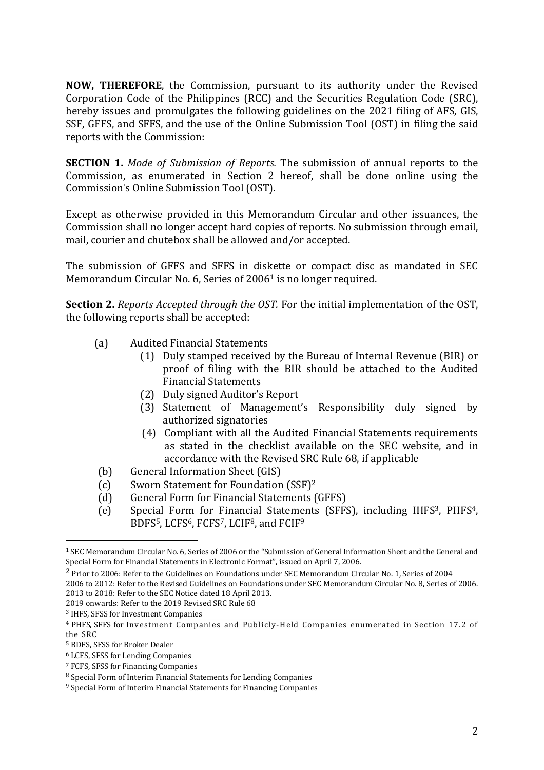**NOW, THEREFORE**, the Commission, pursuant to its authority under the Revised Corporation Code of the Philippines (RCC) and the Securities Regulation Code (SRC), hereby issues and promulgates the following guidelines on the 2021 filing of AFS, GIS, SSF, GFFS, and SFFS, and the use of the Online Submission Tool (OST) in filing the said reports with the Commission:

**SECTION 1.** *Mode of Submission of Reports.* The submission of annual reports to the Commission, as enumerated in Section 2 hereof, shall be done online using the Commission's Online Submission Tool (OST).

Except as otherwise provided in this Memorandum Circular and other issuances, the Commission shall no longer accept hard copies of reports. No submission through email, mail, courier and chutebox shall be allowed and/or accepted.

The submission of GFFS and SFFS in diskette or compact disc as mandated in SEC Memorandum Circular No. 6, Series of 2006<sup>1</sup> is no longer required.

**Section 2.** *Reports Accepted through the OST.* For the initial implementation of the OST, the following reports shall be accepted:

- (a) Audited Financial Statements
	- (1) Duly stamped received by the Bureau of Internal Revenue (BIR) or proof of filing with the BIR should be attached to the Audited Financial Statements
	- (2) Duly signed Auditor's Report
	- (3) Statement of Management's Responsibility duly signed by authorized signatories
	- (4) Compliant with all the Audited Financial Statements requirements as stated in the checklist available on the SEC website, and in accordance with the Revised SRC Rule 68, if applicable
- (b) General Information Sheet (GIS)
- (c) Sworn Statement for Foundation (SSF)<sup>2</sup>
- (d) General Form for Financial Statements (GFFS)
- (e) Special Form for Financial Statements (SFFS), including IHFS3, PHFS4, BDFS5, LCFS6, FCFS7, LCIF8, and FCIF<sup>9</sup>

 $\overline{a}$ 

<sup>1</sup> SEC Memorandum Circular No. 6, Series of 2006 or the "Submission of General Information Sheet and the General and Special Form for Financial Statements in Electronic Format", issued on April 7, 2006.

<sup>2</sup> Prior to 2006: Refer to the Guidelines on Foundations under SEC Memorandum Circular No. 1, Series of 2004

<sup>2006</sup> to 2012: Refer to the Revised Guidelines on Foundations under SEC Memorandum Circular No. 8, Series of 2006. 2013 to 2018: Refer to the SEC Notice dated 18 April 2013.

<sup>2019</sup> onwards: Refer to the 2019 Revised SRC Rule 68

<sup>3</sup> IHFS, SFSS for Investment Companies

<sup>4</sup> PHFS, SFFS for Investment Companies and Publicly-Held Companies enumerated in Section 17.2 of the SRC

<sup>5</sup> BDFS, SFSS for Broker Dealer

<sup>6</sup> LCFS, SFSS for Lending Companies

<sup>7</sup> FCFS, SFSS for Financing Companies

<sup>8</sup> Special Form of Interim Financial Statements for Lending Companies

<sup>9</sup> Special Form of Interim Financial Statements for Financing Companies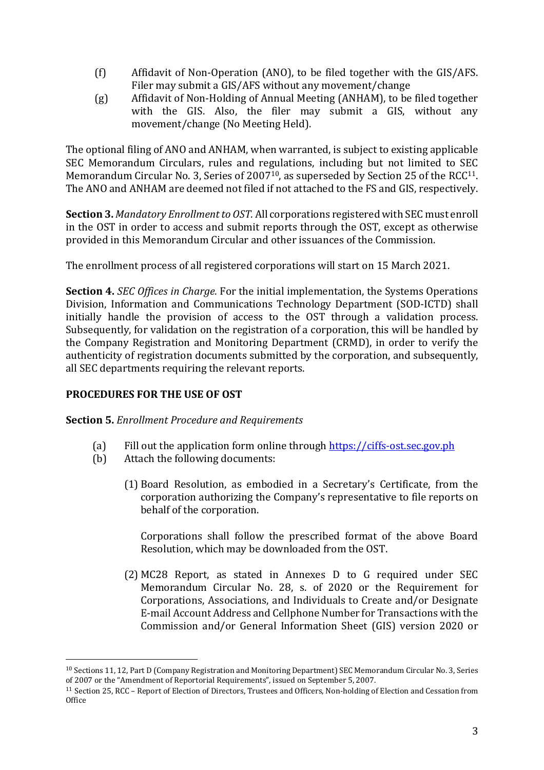- (f) Affidavit of Non-Operation (ANO), to be filed together with the GIS/AFS. Filer may submit a GIS/AFS without any movement/change
- (g) Affidavit of Non-Holding of Annual Meeting (ANHAM), to be filed together with the GIS. Also, the filer may submit a GIS, without any movement/change (No Meeting Held).

The optional filing of ANO and ANHAM, when warranted, is subject to existing applicable SEC Memorandum Circulars, rules and regulations, including but not limited to SEC Memorandum Circular No. 3, Series of 2007<sup>10</sup>, as superseded by Section 25 of the RCC<sup>11</sup>. The ANO and ANHAM are deemed not filed if not attached to the FS and GIS, respectively.

**Section 3.** *Mandatory Enrollment to OST.* All corporations registered with SEC must enroll in the OST in order to access and submit reports through the OST, except as otherwise provided in this Memorandum Circular and other issuances of the Commission.

The enrollment process of all registered corporations will start on 15 March 2021.

**Section 4.** *SEC Offices in Charge.* For the initial implementation, the Systems Operations Division, Information and Communications Technology Department (SOD-ICTD) shall initially handle the provision of access to the OST through a validation process. Subsequently, for validation on the registration of a corporation, this will be handled by the Company Registration and Monitoring Department (CRMD), in order to verify the authenticity of registration documents submitted by the corporation, and subsequently, all SEC departments requiring the relevant reports.

# **PROCEDURES FOR THE USE OF OST**

 $\overline{a}$ 

**Section 5.** *Enrollment Procedure and Requirements*

- (a) Fill out the application form online through [https://ciffs-ost.sec.gov.ph](https://ciffs-ost.sec.gov.ph/)
- (b) Attach the following documents:
	- (1) Board Resolution, as embodied in a Secretary's Certificate, from the corporation authorizing the Company's representative to file reports on behalf of the corporation.

Corporations shall follow the prescribed format of the above Board Resolution, which may be downloaded from the OST.

(2) MC28 Report, as stated in Annexes D to G required under SEC Memorandum Circular No. 28, s. of 2020 or the Requirement for Corporations, Associations, and Individuals to Create and/or Designate E-mail Account Address and Cellphone Number for Transactions with the Commission and/or General Information Sheet (GIS) version 2020 or

<sup>10</sup> Sections 11, 12, Part D (Company Registration and Monitoring Department) SEC Memorandum Circular No. 3, Series of 2007 or the "Amendment of Reportorial Requirements", issued on September 5, 2007.

<sup>11</sup> Section 25, RCC – Report of Election of Directors, Trustees and Officers, Non-holding of Election and Cessation from **Office**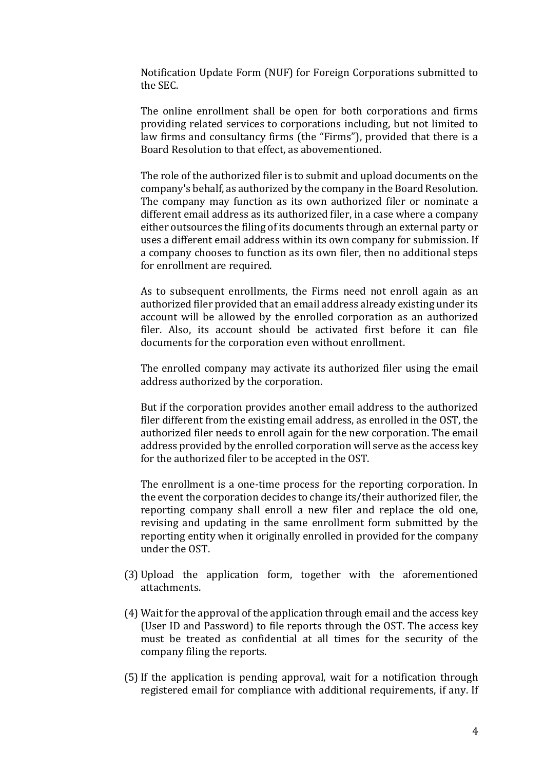Notification Update Form (NUF) for Foreign Corporations submitted to the SEC.

The online enrollment shall be open for both corporations and firms providing related services to corporations including, but not limited to law firms and consultancy firms (the "Firms"), provided that there is a Board Resolution to that effect, as abovementioned.

The role of the authorized filer is to submit and upload documents on the company's behalf, as authorized by the company in the Board Resolution. The company may function as its own authorized filer or nominate a different email address as its authorized filer, in a case where a company either outsources the filing of its documents through an external party or uses a different email address within its own company for submission. If a company chooses to function as its own filer, then no additional steps for enrollment are required.

As to subsequent enrollments, the Firms need not enroll again as an authorized filer provided that an email address already existing under its account will be allowed by the enrolled corporation as an authorized filer. Also, its account should be activated first before it can file documents for the corporation even without enrollment.

The enrolled company may activate its authorized filer using the email address authorized by the corporation.

But if the corporation provides another email address to the authorized filer different from the existing email address, as enrolled in the OST, the authorized filer needs to enroll again for the new corporation. The email address provided by the enrolled corporation will serve as the access key for the authorized filer to be accepted in the OST.

The enrollment is a one-time process for the reporting corporation. In the event the corporation decides to change its/their authorized filer, the reporting company shall enroll a new filer and replace the old one, revising and updating in the same enrollment form submitted by the reporting entity when it originally enrolled in provided for the company under the OST.

- (3) Upload the application form, together with the aforementioned attachments.
- (4) Wait for the approval of the application through email and the access key (User ID and Password) to file reports through the OST. The access key must be treated as confidential at all times for the security of the company filing the reports.
- (5)If the application is pending approval, wait for a notification through registered email for compliance with additional requirements, if any. If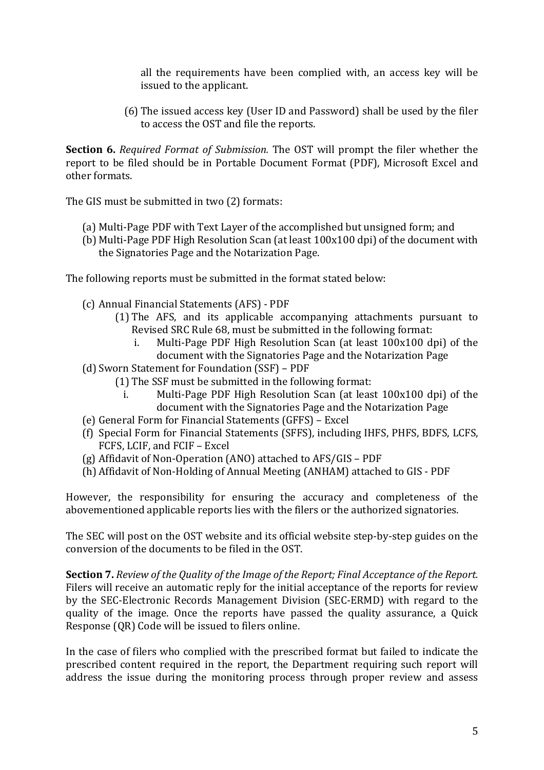all the requirements have been complied with, an access key will be issued to the applicant.

(6) The issued access key (User ID and Password) shall be used by the filer to access the OST and file the reports.

**Section 6.** *Required Format of Submission.* The OST will prompt the filer whether the report to be filed should be in Portable Document Format (PDF), Microsoft Excel and other formats.

The GIS must be submitted in two (2) formats:

- (a) Multi-Page PDF with Text Layer of the accomplished but unsigned form; and
- (b) Multi-Page PDF High Resolution Scan (at least 100x100 dpi) of the document with the Signatories Page and the Notarization Page.

The following reports must be submitted in the format stated below:

- (c) Annual Financial Statements (AFS) PDF
	- (1) The AFS, and its applicable accompanying attachments pursuant to Revised SRC Rule 68, must be submitted in the following format:
		- i. Multi-Page PDF High Resolution Scan (at least 100x100 dpi) of the document with the Signatories Page and the Notarization Page
- (d) Sworn Statement for Foundation (SSF) PDF
	- (1) The SSF must be submitted in the following format:
		- i. Multi-Page PDF High Resolution Scan (at least 100x100 dpi) of the document with the Signatories Page and the Notarization Page
- (e) General Form for Financial Statements (GFFS) Excel
- (f) Special Form for Financial Statements (SFFS), including IHFS, PHFS, BDFS, LCFS, FCFS, LCIF, and FCIF – Excel
- (g) Affidavit of Non-Operation (ANO) attached to AFS/GIS PDF
- (h) Affidavit of Non-Holding of Annual Meeting (ANHAM) attached to GIS PDF

However, the responsibility for ensuring the accuracy and completeness of the abovementioned applicable reports lies with the filers or the authorized signatories.

The SEC will post on the OST website and its official website step-by-step guides on the conversion of the documents to be filed in the OST.

**Section 7.** *Review of the Quality of the Image of the Report; Final Acceptance of the Report.* Filers will receive an automatic reply for the initial acceptance of the reports for review by the SEC-Electronic Records Management Division (SEC-ERMD) with regard to the quality of the image. Once the reports have passed the quality assurance, a Quick Response (QR) Code will be issued to filers online.

In the case of filers who complied with the prescribed format but failed to indicate the prescribed content required in the report, the Department requiring such report will address the issue during the monitoring process through proper review and assess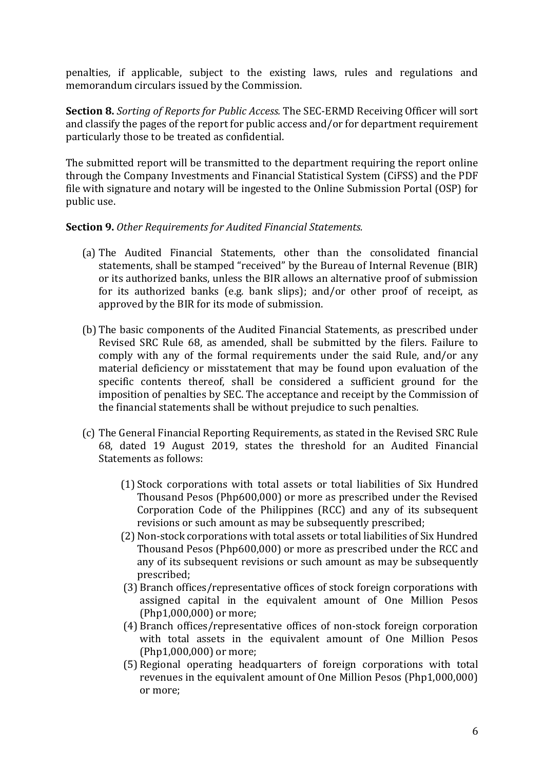penalties, if applicable, subject to the existing laws, rules and regulations and memorandum circulars issued by the Commission.

**Section 8.** *Sorting of Reports for Public Access.* The SEC-ERMD Receiving Officer will sort and classify the pages of the report for public access and/or for department requirement particularly those to be treated as confidential.

The submitted report will be transmitted to the department requiring the report online through the Company Investments and Financial Statistical System (CiFSS) and the PDF file with signature and notary will be ingested to the Online Submission Portal (OSP) for public use.

### **Section 9.** *Other Requirements for Audited Financial Statements.*

- (a) The Audited Financial Statements, other than the consolidated financial statements, shall be stamped "received" by the Bureau of Internal Revenue (BIR) or its authorized banks, unless the BIR allows an alternative proof of submission for its authorized banks (e.g. bank slips); and/or other proof of receipt, as approved by the BIR for its mode of submission.
- (b) The basic components of the Audited Financial Statements, as prescribed under Revised SRC Rule 68, as amended, shall be submitted by the filers. Failure to comply with any of the formal requirements under the said Rule, and/or any material deficiency or misstatement that may be found upon evaluation of the specific contents thereof, shall be considered a sufficient ground for the imposition of penalties by SEC. The acceptance and receipt by the Commission of the financial statements shall be without prejudice to such penalties.
- (c) The General Financial Reporting Requirements, as stated in the Revised SRC Rule 68, dated 19 August 2019, states the threshold for an Audited Financial Statements as follows:
	- (1) Stock corporations with total assets or total liabilities of Six Hundred Thousand Pesos (Php600,000) or more as prescribed under the Revised Corporation Code of the Philippines (RCC) and any of its subsequent revisions or such amount as may be subsequently prescribed;
	- (2) Non-stock corporations with total assets or total liabilities of Six Hundred Thousand Pesos (Php600,000) or more as prescribed under the RCC and any of its subsequent revisions or such amount as may be subsequently prescribed;
	- (3) Branch offices/representative offices of stock foreign corporations with assigned capital in the equivalent amount of One Million Pesos (Php1,000,000) or more;
	- (4) Branch offices/representative offices of non-stock foreign corporation with total assets in the equivalent amount of One Million Pesos (Php1,000,000) or more;
	- (5) Regional operating headquarters of foreign corporations with total revenues in the equivalent amount of One Million Pesos (Php1,000,000) or more;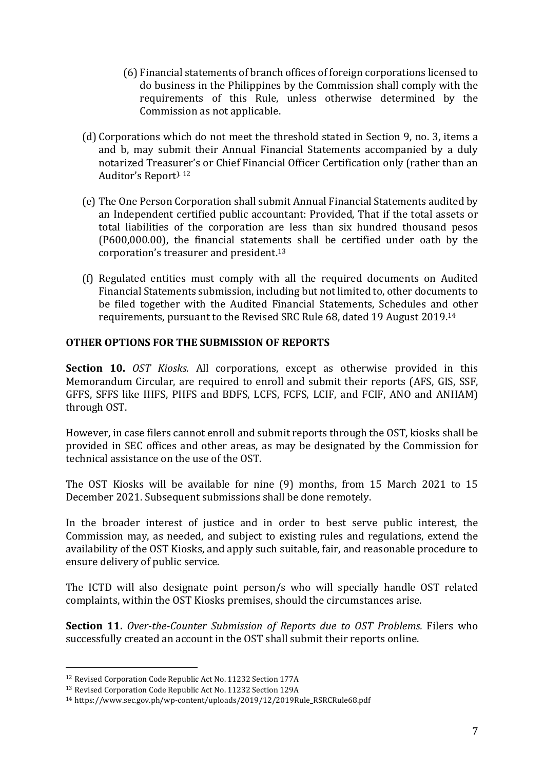- (6) Financial statements of branch offices of foreign corporations licensed to do business in the Philippines by the Commission shall comply with the requirements of this Rule, unless otherwise determined by the Commission as not applicable.
- (d) Corporations which do not meet the threshold stated in Section 9, no. 3, items a and b, may submit their Annual Financial Statements accompanied by a duly notarized Treasurer's or Chief Financial Officer Certification only (rather than an Auditor's Report). <sup>12</sup>
- (e) The One Person Corporation shall submit Annual Financial Statements audited by an Independent certified public accountant: Provided, That if the total assets or total liabilities of the corporation are less than six hundred thousand pesos (P600,000.00), the financial statements shall be certified under oath by the corporation's treasurer and president.<sup>13</sup>
- (f) Regulated entities must comply with all the required documents on Audited Financial Statements submission, including but not limited to, other documents to be filed together with the Audited Financial Statements, Schedules and other requirements, pursuant to the Revised SRC Rule 68, dated 19 August 2019.<sup>14</sup>

### **OTHER OPTIONS FOR THE SUBMISSION OF REPORTS**

**Section 10.** *OST Kiosks.* All corporations, except as otherwise provided in this Memorandum Circular, are required to enroll and submit their reports (AFS, GIS, SSF, GFFS, SFFS like IHFS, PHFS and BDFS, LCFS, FCFS, LCIF, and FCIF, ANO and ANHAM) through OST.

However, in case filers cannot enroll and submit reports through the OST, kiosks shall be provided in SEC offices and other areas, as may be designated by the Commission for technical assistance on the use of the OST.

The OST Kiosks will be available for nine (9) months, from 15 March 2021 to 15 December 2021. Subsequent submissions shall be done remotely.

In the broader interest of justice and in order to best serve public interest, the Commission may, as needed, and subject to existing rules and regulations, extend the availability of the OST Kiosks, and apply such suitable, fair, and reasonable procedure to ensure delivery of public service.

The ICTD will also designate point person/s who will specially handle OST related complaints, within the OST Kiosks premises, should the circumstances arise.

**Section 11.** *Over-the-Counter Submission of Reports due to OST Problems.* Filers who successfully created an account in the OST shall submit their reports online.

 $\overline{a}$ 

<sup>12</sup> Revised Corporation Code Republic Act No. 11232 Section 177A

<sup>13</sup> Revised Corporation Code Republic Act No. 11232 Section 129A

<sup>14</sup> [https://www.sec.gov.ph/wp-content/uploads/2019/12/2019Rule\\_RSRCRule68.pdf](https://www.sec.gov.ph/wp-content/uploads/2019/12/2019Rule_RSRCRule68.pdf)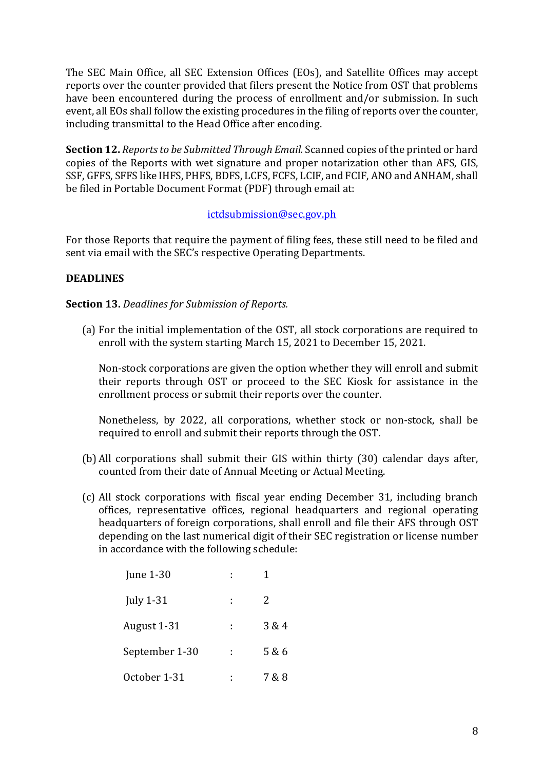The SEC Main Office, all SEC Extension Offices (EOs), and Satellite Offices may accept reports over the counter provided that filers present the Notice from OST that problems have been encountered during the process of enrollment and/or submission. In such event, all EOs shall follow the existing procedures in the filing of reports over the counter, including transmittal to the Head Office after encoding.

**Section 12.** *Reports to be Submitted Through Email.* Scanned copies of the printed or hard copies of the Reports with wet signature and proper notarization other than AFS, GIS, SSF, GFFS, SFFS like IHFS, PHFS, BDFS, LCFS, FCFS, LCIF, and FCIF, ANO and ANHAM, shall be filed in Portable Document Format (PDF) through email at:

### [ictdsubmission@sec.gov.ph](mailto:ictdsubmission@sec.gov.ph)

For those Reports that require the payment of filing fees, these still need to be filed and sent via email with the SEC's respective Operating Departments.

# **DEADLINES**

### **Section 13.** *Deadlines for Submission of Reports.*

(a) For the initial implementation of the OST, all stock corporations are required to enroll with the system starting March 15, 2021 to December 15, 2021.

Non-stock corporations are given the option whether they will enroll and submit their reports through OST or proceed to the SEC Kiosk for assistance in the enrollment process or submit their reports over the counter.

Nonetheless, by 2022, all corporations, whether stock or non-stock, shall be required to enroll and submit their reports through the OST.

- (b) All corporations shall submit their GIS within thirty (30) calendar days after, counted from their date of Annual Meeting or Actual Meeting.
- (c) All stock corporations with fiscal year ending December 31, including branch offices, representative offices, regional headquarters and regional operating headquarters of foreign corporations, shall enroll and file their AFS through OST depending on the last numerical digit of their SEC registration or license number in accordance with the following schedule:

| <b>June 1-30</b> |   |       |
|------------------|---|-------|
| July $1-31$      | ÷ | 2     |
| August 1-31      | ÷ | 3 & 4 |
| September 1-30   | ÷ | 5 & 6 |
| October 1-31     | I | 7 & 8 |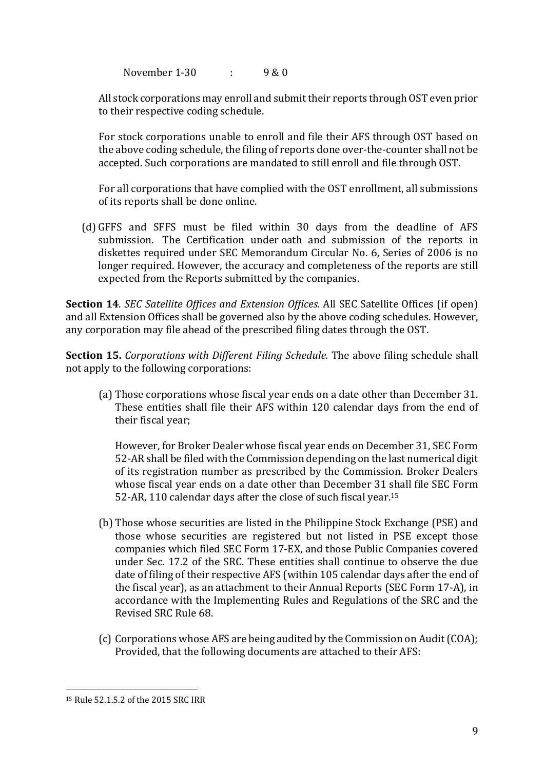November 1-30 : 9 & 0

All stock corporations may enroll and submit their reports through OST even prior to their respective coding schedule.

For stock corporations unable to enroll and file their AFS through OST based on the above coding schedule, the filing of reports done over-the-counter shall not be accepted. Such corporations are mandated to still enroll and file through OST.

For all corporations that have complied with the OST enrollment, all submissions of its reports shall be done online.

(d) GFFS and SFFS must be filed within 30 days from the deadline of AFS submission. The Certification under oath and submission of the reports in diskettes required under SEC Memorandum Circular No. 6, Series of 2006 is no longer required. However, the accuracy and completeness of the reports are still expected from the Reports submitted by the companies.

**Section 14**. *SEC Satellite Offices and Extension Offices.* All SEC Satellite Offices (if open) and all Extension Offices shall be governed also by the above coding schedules. However, any corporation may file ahead of the prescribed filing dates through the OST.

**Section 15.** *Corporations with Different Filing Schedule.* The above filing schedule shall not apply to the following corporations:

(a) Those corporations whose fiscal year ends on a date other than December 31. These entities shall file their AFS within 120 calendar days from the end of their fiscal year;

However, for Broker Dealer whose fiscal year ends on December 31, SEC Form 52-AR shall be filed with the Commission depending on the last numerical digit of its registration number as prescribed by the Commission. Broker Dealers whose fiscal year ends on a date other than December 31 shall file SEC Form 52-AR, 110 calendar days after the close of such fiscal year.<sup>15</sup>

- (b) Those whose securities are listed in the Philippine Stock Exchange (PSE) and those whose securities are registered but not listed in PSE except those companies which filed SEC Form 17-EX, and those Public Companies covered under Sec. 17.2 of the SRC. These entities shall continue to observe the due date of filing of their respective AFS (within 105 calendar days after the end of the fiscal year), as an attachment to their Annual Reports (SEC Form 17-A), in accordance with the Implementing Rules and Regulations of the SRC and the Revised SRC Rule 68.
- (c) Corporations whose AFSare being audited by the Commission on Audit(COA); Provided, that the following documents are attached to their AFS:

 $\overline{a}$ 

<sup>15</sup> Rule 52.1.5.2 of the 2015 SRC IRR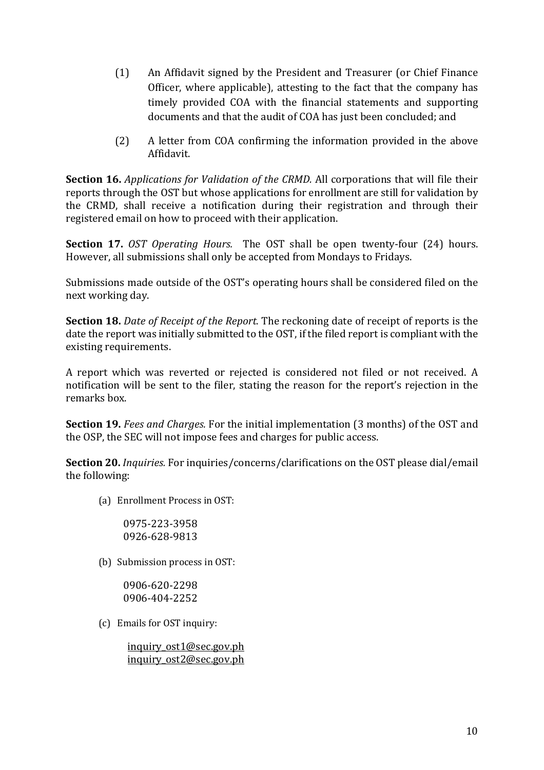- (1) An Affidavit signed by the President and Treasurer (or Chief Finance Officer, where applicable), attesting to the fact that the company has timely provided COA with the financial statements and supporting documents and that the audit of COA has just been concluded; and
- (2) A letter from COA confirming the information provided in the above Affidavit.

**Section 16.** *Applications for Validation of the CRMD.* All corporations that will file their reports through the OST but whose applications for enrollment are still for validation by the CRMD, shall receive a notification during their registration and through their registered email on how to proceed with their application.

**Section 17.** *OST Operating Hours.* The OST shall be open twenty-four (24) hours. However, all submissions shall only be accepted from Mondays to Fridays.

Submissions made outside of the OST's operating hours shall be considered filed on the next working day.

**Section 18.** *Date of Receipt of the Report.* The reckoning date of receipt of reports is the date the report was initially submitted to the OST, if the filed report is compliant with the existing requirements.

A report which was reverted or rejected is considered not filed or not received. A notification will be sent to the filer, stating the reason for the report's rejection in the remarks box.

**Section 19.** *Fees and Charges.* For the initial implementation (3 months) of the OST and the OSP, the SEC will not impose fees and charges for public access.

**Section 20.** *Inquiries.* For inquiries/concerns/clarifications on the OST please dial/email the following:

(a) Enrollment Process in OST:

0975-223-3958 0926-628-9813

(b) Submission process in OST:

0906-620-2298 0906-404-2252

(c) Emails for OST inquiry:

inquiry ost1@sec.gov.ph [inquiry\\_ost2@sec.gov.ph](mailto:inquiry_ost2@sec.gov.ph)